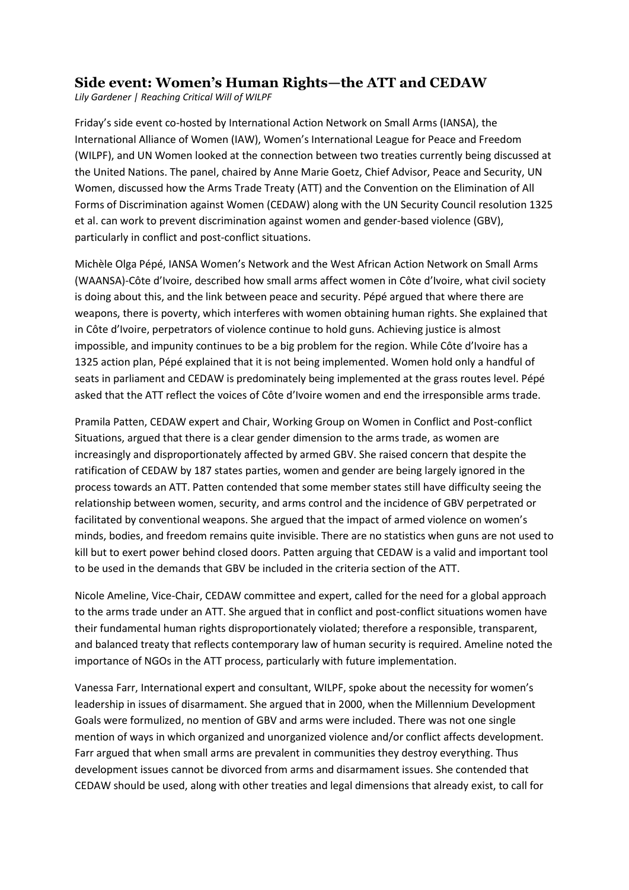## **Side event: Women's Human Rights—the ATT and CEDAW**

*Lily Gardener | Reaching Critical Will of WILPF*

Friday's side event co-hosted by International Action Network on Small Arms (IANSA), the International Alliance of Women (IAW), Women's International League for Peace and Freedom (WILPF), and UN Women looked at the connection between two treaties currently being discussed at the United Nations. The panel, chaired by Anne Marie Goetz, Chief Advisor, Peace and Security, UN Women, discussed how the Arms Trade Treaty (ATT) and the Convention on the Elimination of All Forms of Discrimination against Women (CEDAW) along with the UN Security Council resolution 1325 et al. can work to prevent discrimination against women and gender-based violence (GBV), particularly in conflict and post-conflict situations.

Michèle Olga Pépé, IANSA Women's Network and the West African Action Network on Small Arms (WAANSA)-Côte d'Ivoire, described how small arms affect women in Côte d'Ivoire, what civil society is doing about this, and the link between peace and security. Pépé argued that where there are weapons, there is poverty, which interferes with women obtaining human rights. She explained that in Côte d'Ivoire, perpetrators of violence continue to hold guns. Achieving justice is almost impossible, and impunity continues to be a big problem for the region. While Côte d'Ivoire has a 1325 action plan, Pépé explained that it is not being implemented. Women hold only a handful of seats in parliament and CEDAW is predominately being implemented at the grass routes level. Pépé asked that the ATT reflect the voices of Côte d'Ivoire women and end the irresponsible arms trade.

Pramila Patten, CEDAW expert and Chair, Working Group on Women in Conflict and Post-conflict Situations, argued that there is a clear gender dimension to the arms trade, as women are increasingly and disproportionately affected by armed GBV. She raised concern that despite the ratification of CEDAW by 187 states parties, women and gender are being largely ignored in the process towards an ATT. Patten contended that some member states still have difficulty seeing the relationship between women, security, and arms control and the incidence of GBV perpetrated or facilitated by conventional weapons. She argued that the impact of armed violence on women's minds, bodies, and freedom remains quite invisible. There are no statistics when guns are not used to kill but to exert power behind closed doors. Patten arguing that CEDAW is a valid and important tool to be used in the demands that GBV be included in the criteria section of the ATT.

Nicole Ameline, Vice-Chair, CEDAW committee and expert, called for the need for a global approach to the arms trade under an ATT. She argued that in conflict and post-conflict situations women have their fundamental human rights disproportionately violated; therefore a responsible, transparent, and balanced treaty that reflects contemporary law of human security is required. Ameline noted the importance of NGOs in the ATT process, particularly with future implementation.

Vanessa Farr, International expert and consultant, WILPF, spoke about the necessity for women's leadership in issues of disarmament. She argued that in 2000, when the Millennium Development Goals were formulized, no mention of GBV and arms were included. There was not one single mention of ways in which organized and unorganized violence and/or conflict affects development. Farr argued that when small arms are prevalent in communities they destroy everything. Thus development issues cannot be divorced from arms and disarmament issues. She contended that CEDAW should be used, along with other treaties and legal dimensions that already exist, to call for